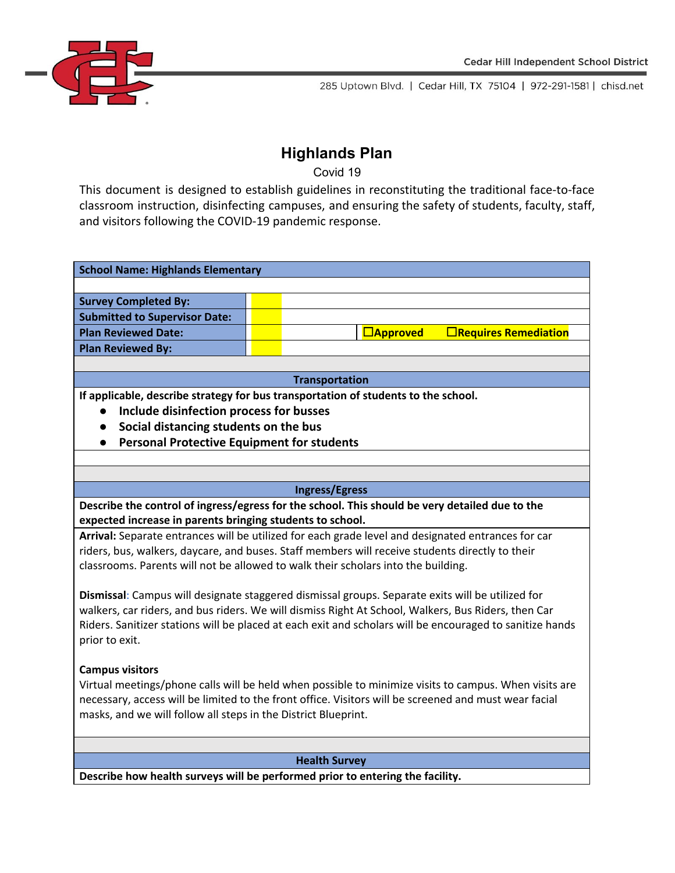

# **Highlands Plan**

Covid 19

This document is designed to establish guidelines in reconstituting the traditional face-to-face classroom instruction, disinfecting campuses, and ensuring the safety of students, faculty, staff, and visitors following the COVID-19 pandemic response.

| <b>School Name: Highlands Elementary</b> |  |  |                 |                             |  |
|------------------------------------------|--|--|-----------------|-----------------------------|--|
|                                          |  |  |                 |                             |  |
| <b>Survey Completed By:</b>              |  |  |                 |                             |  |
| <b>Submitted to Supervisor Date:</b>     |  |  |                 |                             |  |
| <b>Plan Reviewed Date:</b>               |  |  | $\Box$ Approved | $\Box$ Requires Remediation |  |
| <b>Plan Reviewed By:</b>                 |  |  |                 |                             |  |
|                                          |  |  |                 |                             |  |

### **Transportation**

**If applicable, describe strategy for bus transportation of students to the school.**

- **● Include disinfection process for busses**
- **● Social distancing students on the bus**
- **● Personal Protective Equipment for students**

#### **Ingress/Egress**

**Describe the control of ingress/egress for the school. This should be very detailed due to the expected increase in parents bringing students to school.**

**Arrival:** Separate entrances will be utilized for each grade level and designated entrances for car riders, bus, walkers, daycare, and buses. Staff members will receive students directly to their classrooms. Parents will not be allowed to walk their scholars into the building.

**Dismissal**: Campus will designate staggered dismissal groups. Separate exits will be utilized for walkers, car riders, and bus riders. We will dismiss Right At School, Walkers, Bus Riders, then Car Riders. Sanitizer stations will be placed at each exit and scholars will be encouraged to sanitize hands prior to exit.

# **Campus visitors**

Virtual meetings/phone calls will be held when possible to minimize visits to campus. When visits are necessary, access will be limited to the front office. Visitors will be screened and must wear facial masks, and we will follow all steps in the District Blueprint.

#### **Health Survey**

**Describe how health surveys will be performed prior to entering the facility.**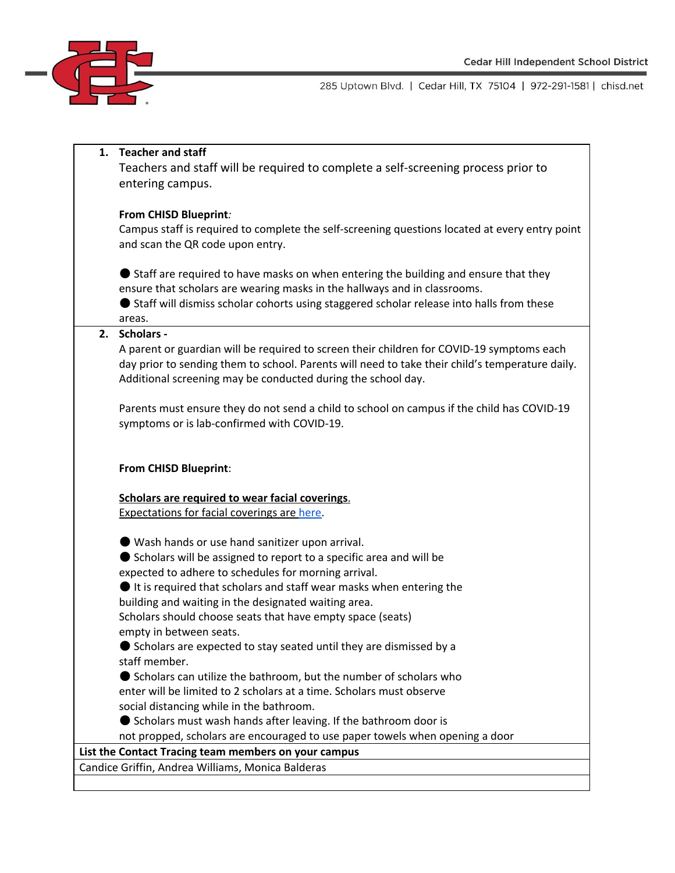

#### **1. Teacher and staff**

Teachers and staff will be required to complete a self-screening process prior to entering campus.

#### **From CHISD Blueprint***:*

Campus staff is required to complete the self-screening questions located at every entry point and scan the QR code upon entry.

● Staff are required to have masks on when entering the building and ensure that they ensure that scholars are wearing masks in the hallways and in classrooms.

● Staff will dismiss scholar cohorts using staggered scholar release into halls from these areas.

#### **2. Scholars -**

A parent or guardian will be required to screen their children for COVID-19 symptoms each day prior to sending them to school. Parents will need to take their child's temperature daily. Additional screening may be conducted during the school day.

Parents must ensure they do not send a child to school on campus if the child has COVID-19 symptoms or is lab-confirmed with COVID-19.

#### **From CHISD Blueprint**:

# **Scholars are required to wear facial coverings**.

Expectations for facial coverings are [here.](https://docs.google.com/document/d/1qWJOrDJ4oR1AOv8_Sr3b0vFL6mfx-eROHyGj_cjfPO8/edit)

● Wash hands or use hand sanitizer upon arrival.

● Scholars will be assigned to report to a specific area and will be expected to adhere to schedules for morning arrival.

● It is required that scholars and staff wear masks when entering the building and waiting in the designated waiting area.

Scholars should choose seats that have empty space (seats) empty in between seats.

● Scholars are expected to stay seated until they are dismissed by a staff member.

● Scholars can utilize the bathroom, but the number of scholars who enter will be limited to 2 scholars at a time. Scholars must observe social distancing while in the bathroom.

● Scholars must wash hands after leaving. If the bathroom door is

not propped, scholars are encouraged to use paper towels when opening a door

# **List the Contact Tracing team members on your campus**

Candice Griffin, Andrea Williams, Monica Balderas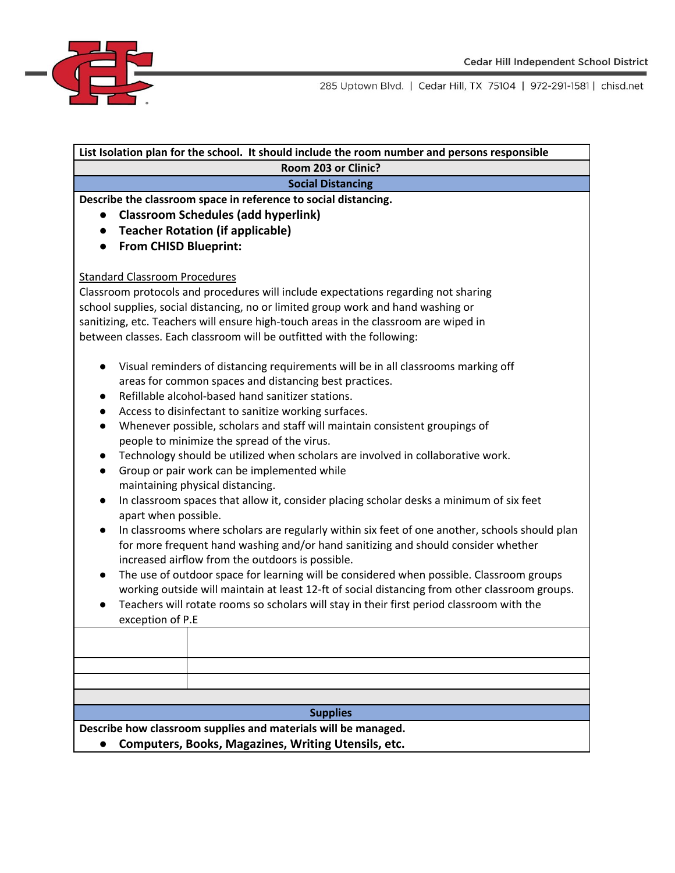

| List Isolation plan for the school. It should include the room number and persons responsible                                                                                                                                                                                                                                                                                                                                                                                                                                                                                                                                                                                                                                                                                                                                                                                                                                                                                                                                                                                                                                                                                                                                                                                                                                        |  |  |  |  |
|--------------------------------------------------------------------------------------------------------------------------------------------------------------------------------------------------------------------------------------------------------------------------------------------------------------------------------------------------------------------------------------------------------------------------------------------------------------------------------------------------------------------------------------------------------------------------------------------------------------------------------------------------------------------------------------------------------------------------------------------------------------------------------------------------------------------------------------------------------------------------------------------------------------------------------------------------------------------------------------------------------------------------------------------------------------------------------------------------------------------------------------------------------------------------------------------------------------------------------------------------------------------------------------------------------------------------------------|--|--|--|--|
| Room 203 or Clinic?                                                                                                                                                                                                                                                                                                                                                                                                                                                                                                                                                                                                                                                                                                                                                                                                                                                                                                                                                                                                                                                                                                                                                                                                                                                                                                                  |  |  |  |  |
| <b>Social Distancing</b>                                                                                                                                                                                                                                                                                                                                                                                                                                                                                                                                                                                                                                                                                                                                                                                                                                                                                                                                                                                                                                                                                                                                                                                                                                                                                                             |  |  |  |  |
| Describe the classroom space in reference to social distancing.<br><b>Classroom Schedules (add hyperlink)</b><br>$\bullet$<br><b>Teacher Rotation (if applicable)</b><br>$\bullet$<br><b>From CHISD Blueprint:</b>                                                                                                                                                                                                                                                                                                                                                                                                                                                                                                                                                                                                                                                                                                                                                                                                                                                                                                                                                                                                                                                                                                                   |  |  |  |  |
| <b>Standard Classroom Procedures</b><br>Classroom protocols and procedures will include expectations regarding not sharing<br>school supplies, social distancing, no or limited group work and hand washing or<br>sanitizing, etc. Teachers will ensure high-touch areas in the classroom are wiped in<br>between classes. Each classroom will be outfitted with the following:                                                                                                                                                                                                                                                                                                                                                                                                                                                                                                                                                                                                                                                                                                                                                                                                                                                                                                                                                      |  |  |  |  |
| Visual reminders of distancing requirements will be in all classrooms marking off<br>areas for common spaces and distancing best practices.<br>Refillable alcohol-based hand sanitizer stations.<br>$\bullet$<br>Access to disinfectant to sanitize working surfaces.<br>Whenever possible, scholars and staff will maintain consistent groupings of<br>$\bullet$<br>people to minimize the spread of the virus.<br>Technology should be utilized when scholars are involved in collaborative work.<br>$\bullet$<br>Group or pair work can be implemented while<br>$\bullet$<br>maintaining physical distancing.<br>In classroom spaces that allow it, consider placing scholar desks a minimum of six feet<br>$\bullet$<br>apart when possible.<br>In classrooms where scholars are regularly within six feet of one another, schools should plan<br>$\bullet$<br>for more frequent hand washing and/or hand sanitizing and should consider whether<br>increased airflow from the outdoors is possible.<br>The use of outdoor space for learning will be considered when possible. Classroom groups<br>$\bullet$<br>working outside will maintain at least 12-ft of social distancing from other classroom groups.<br>Teachers will rotate rooms so scholars will stay in their first period classroom with the<br>exception of P.E |  |  |  |  |
|                                                                                                                                                                                                                                                                                                                                                                                                                                                                                                                                                                                                                                                                                                                                                                                                                                                                                                                                                                                                                                                                                                                                                                                                                                                                                                                                      |  |  |  |  |
|                                                                                                                                                                                                                                                                                                                                                                                                                                                                                                                                                                                                                                                                                                                                                                                                                                                                                                                                                                                                                                                                                                                                                                                                                                                                                                                                      |  |  |  |  |
|                                                                                                                                                                                                                                                                                                                                                                                                                                                                                                                                                                                                                                                                                                                                                                                                                                                                                                                                                                                                                                                                                                                                                                                                                                                                                                                                      |  |  |  |  |
| <b>Supplies</b>                                                                                                                                                                                                                                                                                                                                                                                                                                                                                                                                                                                                                                                                                                                                                                                                                                                                                                                                                                                                                                                                                                                                                                                                                                                                                                                      |  |  |  |  |
| Describe how classroom supplies and materials will be managed.<br><b>Computers, Books, Magazines, Writing Utensils, etc.</b>                                                                                                                                                                                                                                                                                                                                                                                                                                                                                                                                                                                                                                                                                                                                                                                                                                                                                                                                                                                                                                                                                                                                                                                                         |  |  |  |  |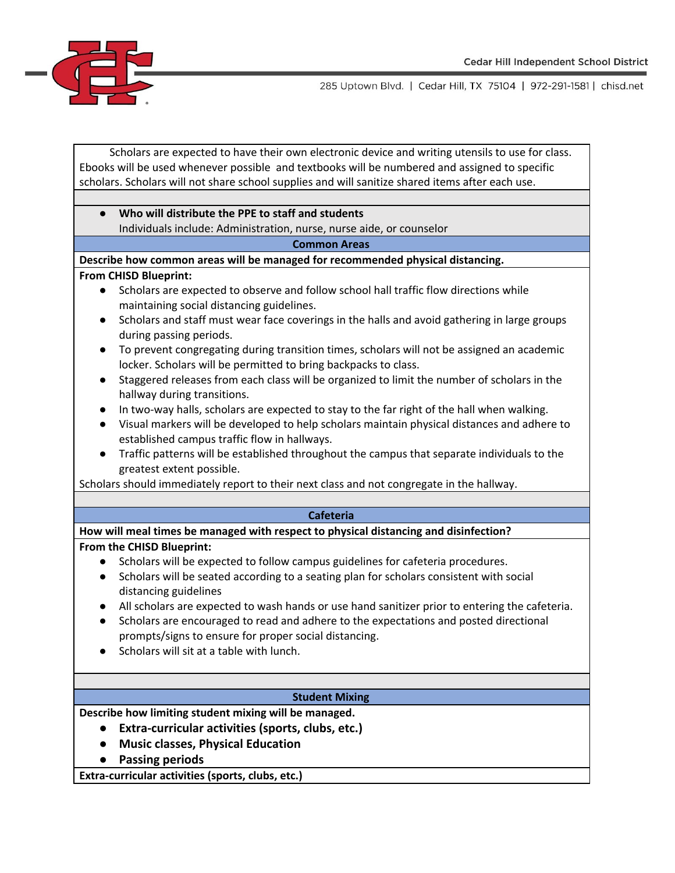

Scholars are expected to have their own electronic device and writing utensils to use for class. Ebooks will be used whenever possible and textbooks will be numbered and assigned to specific scholars. Scholars will not share school supplies and will sanitize shared items after each use.

# **● Who will distribute the PPE to staff and students** Individuals include: Administration, nurse, nurse aide, or counselor

**Common Areas**

#### **Describe how common areas will be managed for recommended physical distancing.**

#### **From CHISD Blueprint:**

- Scholars are expected to observe and follow school hall traffic flow directions while maintaining social distancing guidelines.
- Scholars and staff must wear face coverings in the halls and avoid gathering in large groups during passing periods.
- To prevent congregating during transition times, scholars will not be assigned an academic locker. Scholars will be permitted to bring backpacks to class.
- Staggered releases from each class will be organized to limit the number of scholars in the hallway during transitions.
- In two-way halls, scholars are expected to stay to the far right of the hall when walking.
- Visual markers will be developed to help scholars maintain physical distances and adhere to established campus traffic flow in hallways.
- Traffic patterns will be established throughout the campus that separate individuals to the greatest extent possible.

Scholars should immediately report to their next class and not congregate in the hallway.

#### **Cafeteria**

**How will meal times be managed with respect to physical distancing and disinfection?**

#### **From the CHISD Blueprint:**

- Scholars will be expected to follow campus guidelines for cafeteria procedures.
- Scholars will be seated according to a seating plan for scholars consistent with social distancing guidelines
- All scholars are expected to wash hands or use hand sanitizer prior to entering the cafeteria.
- Scholars are encouraged to read and adhere to the expectations and posted directional prompts/signs to ensure for proper social distancing.
- Scholars will sit at a table with lunch.

#### **Student Mixing**

**Describe how limiting student mixing will be managed.**

- **● Extra-curricular activities (sports, clubs, etc.)**
- **● Music classes, Physical Education**
- **● Passing periods**

**Extra-curricular activities (sports, clubs, etc.)**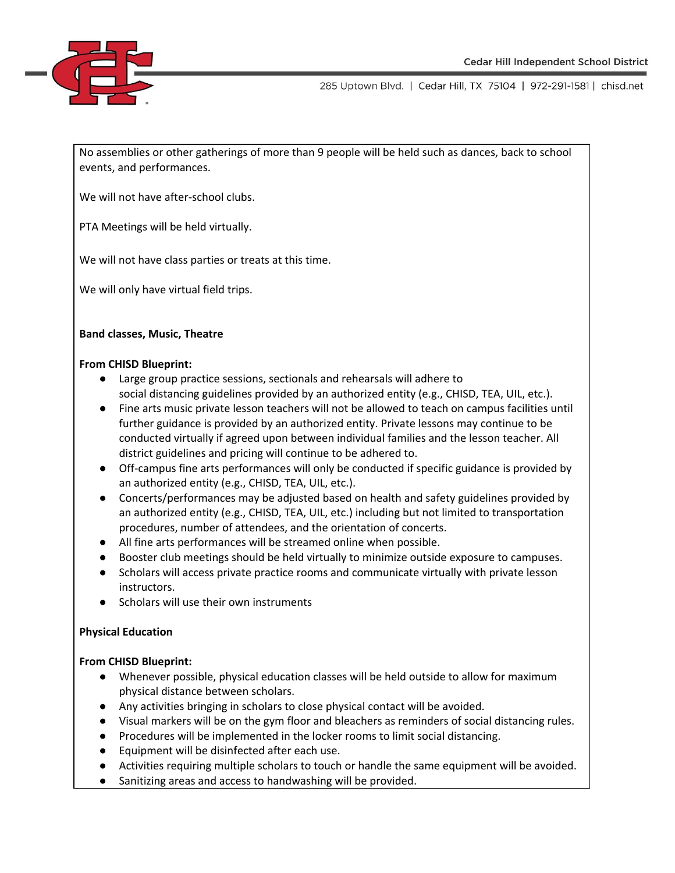

No assemblies or other gatherings of more than 9 people will be held such as dances, back to school events, and performances.

We will not have after-school clubs.

PTA Meetings will be held virtually.

We will not have class parties or treats at this time.

We will only have virtual field trips.

### **Band classes, Music, Theatre**

#### **From CHISD Blueprint:**

- Large group practice sessions, sectionals and rehearsals will adhere to social distancing guidelines provided by an authorized entity (e.g., CHISD, TEA, UIL, etc.).
- Fine arts music private lesson teachers will not be allowed to teach on campus facilities until further guidance is provided by an authorized entity. Private lessons may continue to be conducted virtually if agreed upon between individual families and the lesson teacher. All district guidelines and pricing will continue to be adhered to.
- Off-campus fine arts performances will only be conducted if specific guidance is provided by an authorized entity (e.g., CHISD, TEA, UIL, etc.).
- Concerts/performances may be adjusted based on health and safety guidelines provided by an authorized entity (e.g., CHISD, TEA, UIL, etc.) including but not limited to transportation procedures, number of attendees, and the orientation of concerts.
- All fine arts performances will be streamed online when possible.
- Booster club meetings should be held virtually to minimize outside exposure to campuses.
- Scholars will access private practice rooms and communicate virtually with private lesson instructors.
- Scholars will use their own instruments

# **Physical Education**

# **From CHISD Blueprint:**

- Whenever possible, physical education classes will be held outside to allow for maximum physical distance between scholars.
- Any activities bringing in scholars to close physical contact will be avoided.
- Visual markers will be on the gym floor and bleachers as reminders of social distancing rules.
- Procedures will be implemented in the locker rooms to limit social distancing.
- Equipment will be disinfected after each use.
- Activities requiring multiple scholars to touch or handle the same equipment will be avoided.
- Sanitizing areas and access to handwashing will be provided.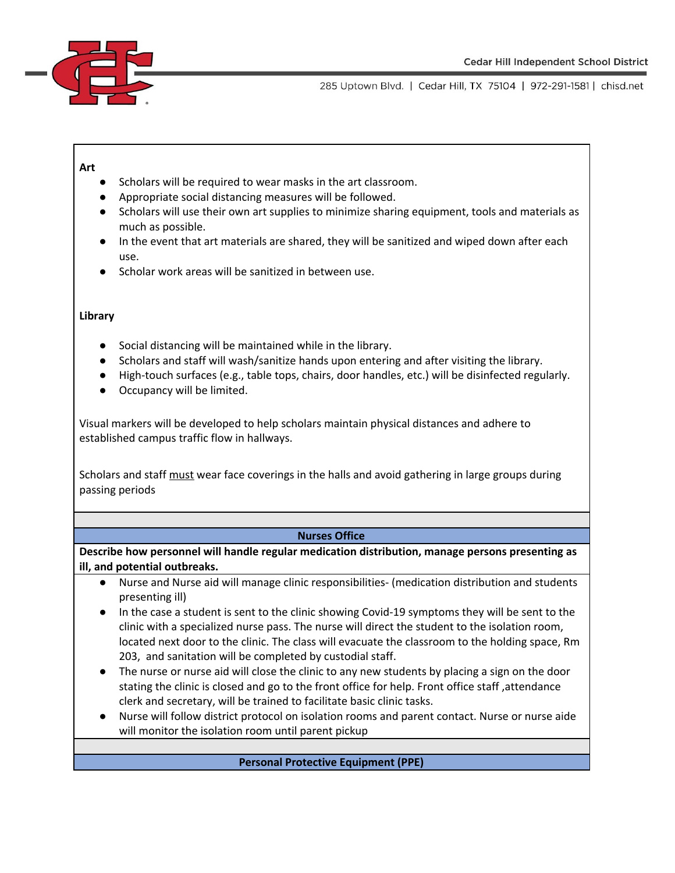

#### **Art**

- Scholars will be required to wear masks in the art classroom.
- Appropriate social distancing measures will be followed.
- Scholars will use their own art supplies to minimize sharing equipment, tools and materials as much as possible.
- In the event that art materials are shared, they will be sanitized and wiped down after each use.
- Scholar work areas will be sanitized in between use.

#### **Library**

- Social distancing will be maintained while in the library.
- Scholars and staff will wash/sanitize hands upon entering and after visiting the library.
- High-touch surfaces (e.g., table tops, chairs, door handles, etc.) will be disinfected regularly.
- Occupancy will be limited.

Visual markers will be developed to help scholars maintain physical distances and adhere to established campus traffic flow in hallways.

Scholars and staff must wear face coverings in the halls and avoid gathering in large groups during passing periods

#### **Nurses Office**

**Describe how personnel will handle regular medication distribution, manage persons presenting as ill, and potential outbreaks.**

- Nurse and Nurse aid will manage clinic responsibilities- (medication distribution and students presenting ill)
- In the case a student is sent to the clinic showing Covid-19 symptoms they will be sent to the clinic with a specialized nurse pass. The nurse will direct the student to the isolation room, located next door to the clinic. The class will evacuate the classroom to the holding space, Rm 203, and sanitation will be completed by custodial staff.
- The nurse or nurse aid will close the clinic to any new students by placing a sign on the door stating the clinic is closed and go to the front office for help. Front office staff ,attendance clerk and secretary, will be trained to facilitate basic clinic tasks.
- Nurse will follow district protocol on isolation rooms and parent contact. Nurse or nurse aide will monitor the isolation room until parent pickup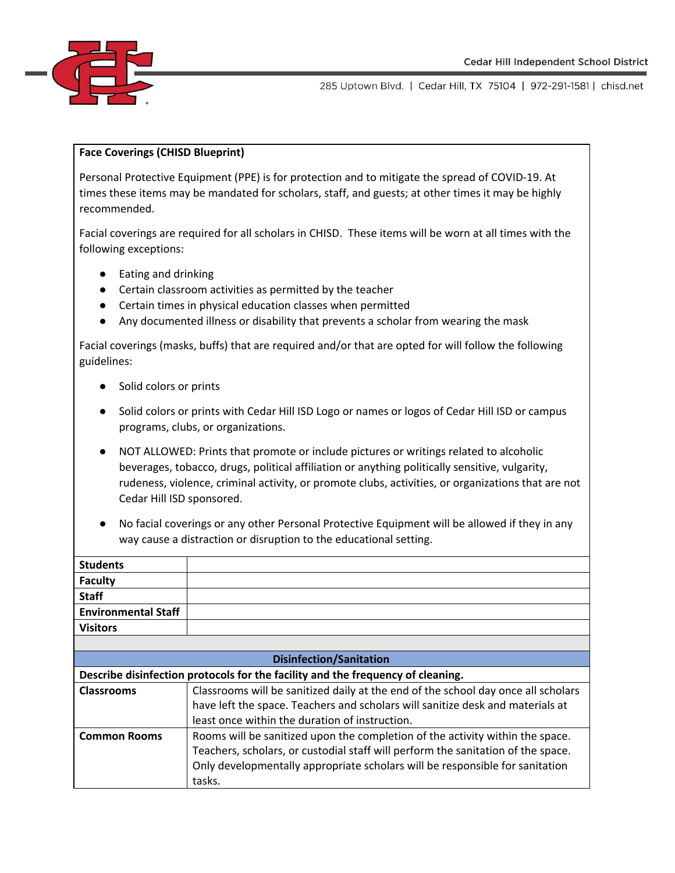

#### **Face Coverings (CHISD Blueprint)**

Personal Protective Equipment (PPE) is for protection and to mitigate the spread of COVID-19. At times these items may be mandated for scholars, staff, and guests; at other times it may be highly recommended.

Facial coverings are required for all scholars in CHISD. These items will be worn at all times with the following exceptions:

- Eating and drinking
- Certain classroom activities as permitted by the teacher
- Certain times in physical education classes when permitted
- Any documented illness or disability that prevents a scholar from wearing the mask

Facial coverings (masks, buffs) that are required and/or that are opted for will follow the following guidelines:

- Solid colors or prints
- Solid colors or prints with Cedar Hill ISD Logo or names or logos of Cedar Hill ISD or campus programs, clubs, or organizations.
- NOT ALLOWED: Prints that promote or include pictures or writings related to alcoholic beverages, tobacco, drugs, political affiliation or anything politically sensitive, vulgarity, rudeness, violence, criminal activity, or promote clubs, activities, or organizations that are not Cedar Hill ISD sponsored.
- No facial coverings or any other Personal Protective Equipment will be allowed if they in any way cause a distraction or disruption to the educational setting.

| <b>Students</b>                                                                 |                                                                                   |  |  |  |
|---------------------------------------------------------------------------------|-----------------------------------------------------------------------------------|--|--|--|
| <b>Faculty</b>                                                                  |                                                                                   |  |  |  |
| <b>Staff</b>                                                                    |                                                                                   |  |  |  |
| <b>Environmental Staff</b>                                                      |                                                                                   |  |  |  |
| <b>Visitors</b>                                                                 |                                                                                   |  |  |  |
|                                                                                 |                                                                                   |  |  |  |
| <b>Disinfection/Sanitation</b>                                                  |                                                                                   |  |  |  |
| Describe disinfection protocols for the facility and the frequency of cleaning. |                                                                                   |  |  |  |
| <b>Classrooms</b>                                                               | Classrooms will be sanitized daily at the end of the school day once all scholars |  |  |  |
|                                                                                 | have left the space. Teachers and scholars will sanitize desk and materials at    |  |  |  |
|                                                                                 | least once within the duration of instruction.                                    |  |  |  |
| <b>Common Rooms</b>                                                             | Rooms will be sanitized upon the completion of the activity within the space.     |  |  |  |
|                                                                                 | Teachers, scholars, or custodial staff will perform the sanitation of the space.  |  |  |  |
|                                                                                 | Only developmentally appropriate scholars will be responsible for sanitation      |  |  |  |
|                                                                                 | tasks.                                                                            |  |  |  |